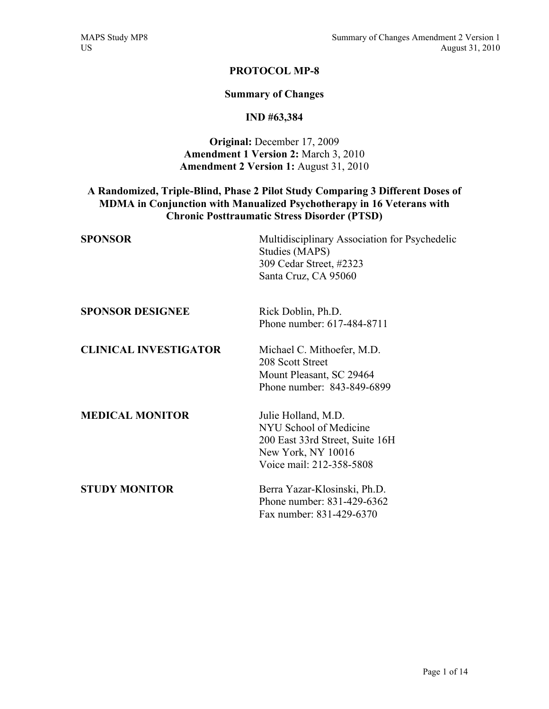# **PROTOCOL MP-8**

### **Summary of Changes**

# **IND #63,384**

# **Original:** December 17, 2009 **Amendment 1 Version 2:** March 3, 2010 **Amendment 2 Version 1:** August 31, 2010

# **A Randomized, Triple-Blind, Phase 2 Pilot Study Comparing 3 Different Doses of MDMA in Conjunction with Manualized Psychotherapy in 16 Veterans with Chronic Posttraumatic Stress Disorder (PTSD)**

| <b>SPONSOR</b>               | Multidisciplinary Association for Psychedelic<br>Studies (MAPS)<br>309 Cedar Street, #2323<br>Santa Cruz, CA 95060                 |
|------------------------------|------------------------------------------------------------------------------------------------------------------------------------|
| <b>SPONSOR DESIGNEE</b>      | Rick Doblin, Ph.D.<br>Phone number: 617-484-8711                                                                                   |
| <b>CLINICAL INVESTIGATOR</b> | Michael C. Mithoefer, M.D.<br>208 Scott Street<br>Mount Pleasant, SC 29464<br>Phone number: 843-849-6899                           |
| <b>MEDICAL MONITOR</b>       | Julie Holland, M.D.<br>NYU School of Medicine<br>200 East 33rd Street, Suite 16H<br>New York, NY 10016<br>Voice mail: 212-358-5808 |
| <b>STUDY MONITOR</b>         | Berra Yazar-Klosinski, Ph.D.<br>Phone number: 831-429-6362<br>Fax number: 831-429-6370                                             |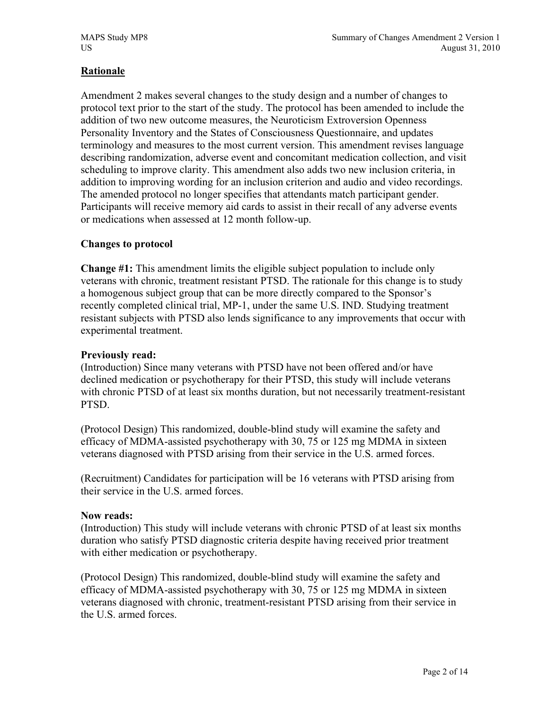# **Rationale**

Amendment 2 makes several changes to the study design and a number of changes to protocol text prior to the start of the study. The protocol has been amended to include the addition of two new outcome measures, the Neuroticism Extroversion Openness Personality Inventory and the States of Consciousness Questionnaire, and updates terminology and measures to the most current version. This amendment revises language describing randomization, adverse event and concomitant medication collection, and visit scheduling to improve clarity. This amendment also adds two new inclusion criteria, in addition to improving wording for an inclusion criterion and audio and video recordings. The amended protocol no longer specifies that attendants match participant gender. Participants will receive memory aid cards to assist in their recall of any adverse events or medications when assessed at 12 month follow-up.

# **Changes to protocol**

**Change #1:** This amendment limits the eligible subject population to include only veterans with chronic, treatment resistant PTSD. The rationale for this change is to study a homogenous subject group that can be more directly compared to the Sponsor's recently completed clinical trial, MP-1, under the same U.S. IND. Studying treatment resistant subjects with PTSD also lends significance to any improvements that occur with experimental treatment.

# **Previously read:**

(Introduction) Since many veterans with PTSD have not been offered and/or have declined medication or psychotherapy for their PTSD, this study will include veterans with chronic PTSD of at least six months duration, but not necessarily treatment-resistant PTSD.

(Protocol Design) This randomized, double-blind study will examine the safety and efficacy of MDMA-assisted psychotherapy with 30, 75 or 125 mg MDMA in sixteen veterans diagnosed with PTSD arising from their service in the U.S. armed forces.

(Recruitment) Candidates for participation will be 16 veterans with PTSD arising from their service in the U.S. armed forces.

# **Now reads:**

(Introduction) This study will include veterans with chronic PTSD of at least six months duration who satisfy PTSD diagnostic criteria despite having received prior treatment with either medication or psychotherapy.

(Protocol Design) This randomized, double-blind study will examine the safety and efficacy of MDMA-assisted psychotherapy with 30, 75 or 125 mg MDMA in sixteen veterans diagnosed with chronic, treatment-resistant PTSD arising from their service in the U.S. armed forces.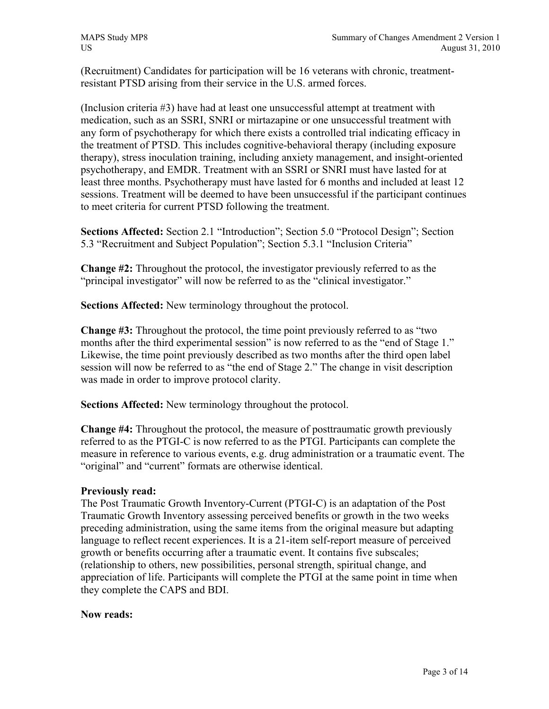(Recruitment) Candidates for participation will be 16 veterans with chronic, treatmentresistant PTSD arising from their service in the U.S. armed forces.

(Inclusion criteria #3) have had at least one unsuccessful attempt at treatment with medication, such as an SSRI, SNRI or mirtazapine or one unsuccessful treatment with any form of psychotherapy for which there exists a controlled trial indicating efficacy in the treatment of PTSD. This includes cognitive-behavioral therapy (including exposure therapy), stress inoculation training, including anxiety management, and insight-oriented psychotherapy, and EMDR. Treatment with an SSRI or SNRI must have lasted for at least three months. Psychotherapy must have lasted for 6 months and included at least 12 sessions. Treatment will be deemed to have been unsuccessful if the participant continues to meet criteria for current PTSD following the treatment.

**Sections Affected:** Section 2.1 "Introduction"; Section 5.0 "Protocol Design"; Section 5.3 "Recruitment and Subject Population"; Section 5.3.1 "Inclusion Criteria"

**Change #2:** Throughout the protocol, the investigator previously referred to as the "principal investigator" will now be referred to as the "clinical investigator."

**Sections Affected:** New terminology throughout the protocol.

**Change #3:** Throughout the protocol, the time point previously referred to as "two months after the third experimental session" is now referred to as the "end of Stage 1." Likewise, the time point previously described as two months after the third open label session will now be referred to as "the end of Stage 2." The change in visit description was made in order to improve protocol clarity.

**Sections Affected:** New terminology throughout the protocol.

**Change #4:** Throughout the protocol, the measure of posttraumatic growth previously referred to as the PTGI-C is now referred to as the PTGI. Participants can complete the measure in reference to various events, e.g. drug administration or a traumatic event. The "original" and "current" formats are otherwise identical.

# **Previously read:**

The Post Traumatic Growth Inventory-Current (PTGI-C) is an adaptation of the Post Traumatic Growth Inventory assessing perceived benefits or growth in the two weeks preceding administration, using the same items from the original measure but adapting language to reflect recent experiences. It is a 21-item self-report measure of perceived growth or benefits occurring after a traumatic event. It contains five subscales; (relationship to others, new possibilities, personal strength, spiritual change, and appreciation of life. Participants will complete the PTGI at the same point in time when they complete the CAPS and BDI.

# **Now reads:**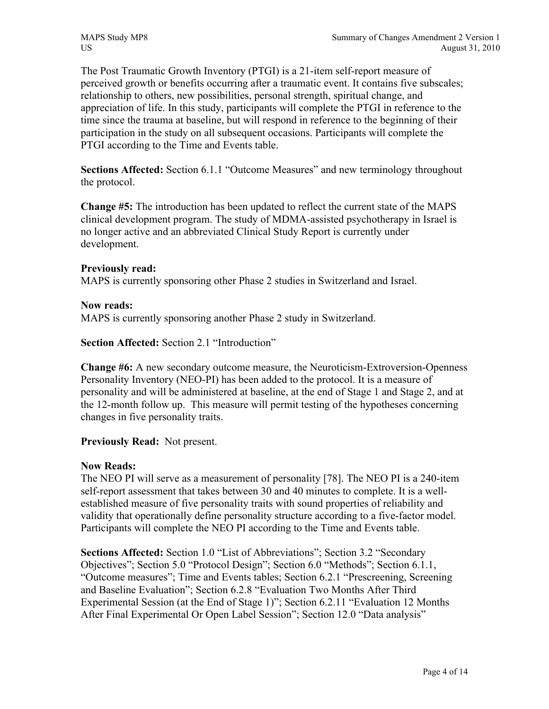The Post Traumatic Growth Inventory (PTGI) is a 21-item self-report measure of perceived growth or benefits occurring after a traumatic event. It contains five subscales; relationship to others, new possibilities, personal strength, spiritual change, and appreciation of life. In this study, participants will complete the PTGI in reference to the time since the trauma at baseline, but will respond in reference to the beginning of their participation in the study on all subsequent occasions. Participants will complete the PTGI according to the Time and Events table.

**Sections Affected:** Section 6.1.1 "Outcome Measures" and new terminology throughout the protocol.

**Change #5:** The introduction has been updated to reflect the current state of the MAPS clinical development program. The study of MDMA-assisted psychotherapy in Israel is no longer active and an abbreviated Clinical Study Report is currently under development.

# **Previously read:**

MAPS is currently sponsoring other Phase 2 studies in Switzerland and Israel.

# **Now reads:**

MAPS is currently sponsoring another Phase 2 study in Switzerland.

**Section Affected:** Section 2.1 "Introduction"

**Change #6:** A new secondary outcome measure, the Neuroticism-Extroversion-Openness Personality Inventory (NEO-PI) has been added to the protocol. It is a measure of personality and will be administered at baseline, at the end of Stage 1 and Stage 2, and at the 12-month follow up. This measure will permit testing of the hypotheses concerning changes in five personality traits.

# **Previously Read:** Not present.

# **Now Reads:**

The NEO PI will serve as a measurement of personality [78]. The NEO PI is a 240-item self-report assessment that takes between 30 and 40 minutes to complete. It is a wellestablished measure of five personality traits with sound properties of reliability and validity that operationally define personality structure according to a five-factor model. Participants will complete the NEO PI according to the Time and Events table.

**Sections Affected:** Section 1.0 "List of Abbreviations"; Section 3.2 "Secondary Objectives"; Section 5.0 "Protocol Design"; Section 6.0 "Methods"; Section 6.1.1, "Outcome measures"; Time and Events tables; Section 6.2.1 "Prescreening, Screening and Baseline Evaluation"; Section 6.2.8 "Evaluation Two Months After Third Experimental Session (at the End of Stage 1)"; Section 6.2.11 "Evaluation 12 Months After Final Experimental Or Open Label Session"; Section 12.0 "Data analysis"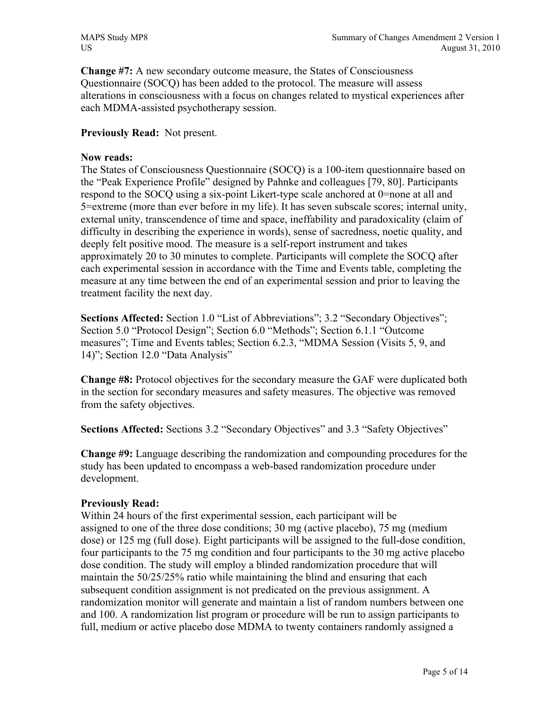**Change #7:** A new secondary outcome measure, the States of Consciousness Questionnaire (SOCQ) has been added to the protocol. The measure will assess alterations in consciousness with a focus on changes related to mystical experiences after each MDMA-assisted psychotherapy session.

# **Previously Read:** Not present.

# **Now reads:**

The States of Consciousness Questionnaire (SOCQ) is a 100-item questionnaire based on the "Peak Experience Profile" designed by Pahnke and colleagues [79, 80]. Participants respond to the SOCQ using a six-point Likert-type scale anchored at 0=none at all and 5=extreme (more than ever before in my life). It has seven subscale scores; internal unity, external unity, transcendence of time and space, ineffability and paradoxicality (claim of difficulty in describing the experience in words), sense of sacredness, noetic quality, and deeply felt positive mood. The measure is a self-report instrument and takes approximately 20 to 30 minutes to complete. Participants will complete the SOCQ after each experimental session in accordance with the Time and Events table, completing the measure at any time between the end of an experimental session and prior to leaving the treatment facility the next day.

**Sections Affected:** Section 1.0 "List of Abbreviations"; 3.2 "Secondary Objectives"; Section 5.0 "Protocol Design"; Section 6.0 "Methods"; Section 6.1.1 "Outcome measures"; Time and Events tables; Section 6.2.3, "MDMA Session (Visits 5, 9, and 14)"; Section 12.0 "Data Analysis"

**Change #8:** Protocol objectives for the secondary measure the GAF were duplicated both in the section for secondary measures and safety measures. The objective was removed from the safety objectives.

**Sections Affected:** Sections 3.2 "Secondary Objectives" and 3.3 "Safety Objectives"

**Change #9:** Language describing the randomization and compounding procedures for the study has been updated to encompass a web-based randomization procedure under development.

# **Previously Read:**

Within 24 hours of the first experimental session, each participant will be assigned to one of the three dose conditions; 30 mg (active placebo), 75 mg (medium dose) or 125 mg (full dose). Eight participants will be assigned to the full-dose condition, four participants to the 75 mg condition and four participants to the 30 mg active placebo dose condition. The study will employ a blinded randomization procedure that will maintain the 50/25/25% ratio while maintaining the blind and ensuring that each subsequent condition assignment is not predicated on the previous assignment. A randomization monitor will generate and maintain a list of random numbers between one and 100. A randomization list program or procedure will be run to assign participants to full, medium or active placebo dose MDMA to twenty containers randomly assigned a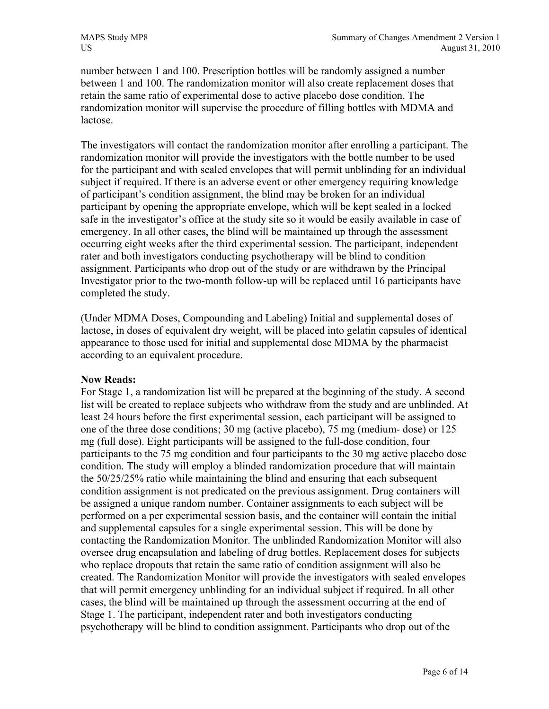number between 1 and 100. Prescription bottles will be randomly assigned a number between 1 and 100. The randomization monitor will also create replacement doses that retain the same ratio of experimental dose to active placebo dose condition. The randomization monitor will supervise the procedure of filling bottles with MDMA and lactose.

The investigators will contact the randomization monitor after enrolling a participant. The randomization monitor will provide the investigators with the bottle number to be used for the participant and with sealed envelopes that will permit unblinding for an individual subject if required. If there is an adverse event or other emergency requiring knowledge of participant's condition assignment, the blind may be broken for an individual participant by opening the appropriate envelope, which will be kept sealed in a locked safe in the investigator's office at the study site so it would be easily available in case of emergency. In all other cases, the blind will be maintained up through the assessment occurring eight weeks after the third experimental session. The participant, independent rater and both investigators conducting psychotherapy will be blind to condition assignment. Participants who drop out of the study or are withdrawn by the Principal Investigator prior to the two-month follow-up will be replaced until 16 participants have completed the study.

(Under MDMA Doses, Compounding and Labeling) Initial and supplemental doses of lactose, in doses of equivalent dry weight, will be placed into gelatin capsules of identical appearance to those used for initial and supplemental dose MDMA by the pharmacist according to an equivalent procedure.

# **Now Reads:**

For Stage 1, a randomization list will be prepared at the beginning of the study. A second list will be created to replace subjects who withdraw from the study and are unblinded. At least 24 hours before the first experimental session, each participant will be assigned to one of the three dose conditions; 30 mg (active placebo), 75 mg (medium- dose) or 125 mg (full dose). Eight participants will be assigned to the full-dose condition, four participants to the 75 mg condition and four participants to the 30 mg active placebo dose condition. The study will employ a blinded randomization procedure that will maintain the 50/25/25% ratio while maintaining the blind and ensuring that each subsequent condition assignment is not predicated on the previous assignment. Drug containers will be assigned a unique random number. Container assignments to each subject will be performed on a per experimental session basis, and the container will contain the initial and supplemental capsules for a single experimental session. This will be done by contacting the Randomization Monitor. The unblinded Randomization Monitor will also oversee drug encapsulation and labeling of drug bottles. Replacement doses for subjects who replace dropouts that retain the same ratio of condition assignment will also be created. The Randomization Monitor will provide the investigators with sealed envelopes that will permit emergency unblinding for an individual subject if required. In all other cases, the blind will be maintained up through the assessment occurring at the end of Stage 1. The participant, independent rater and both investigators conducting psychotherapy will be blind to condition assignment. Participants who drop out of the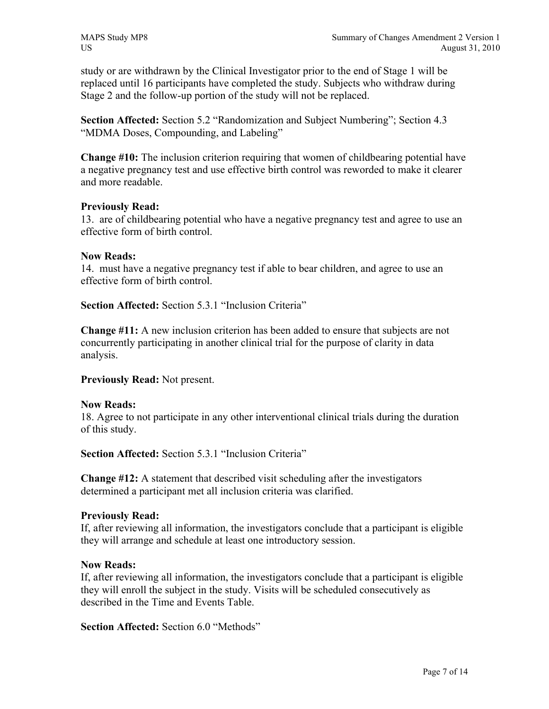study or are withdrawn by the Clinical Investigator prior to the end of Stage 1 will be replaced until 16 participants have completed the study. Subjects who withdraw during Stage 2 and the follow-up portion of the study will not be replaced.

**Section Affected:** Section 5.2 "Randomization and Subject Numbering"; Section 4.3 "MDMA Doses, Compounding, and Labeling"

**Change #10:** The inclusion criterion requiring that women of childbearing potential have a negative pregnancy test and use effective birth control was reworded to make it clearer and more readable.

# **Previously Read:**

13. are of childbearing potential who have a negative pregnancy test and agree to use an effective form of birth control.

### **Now Reads:**

14. must have a negative pregnancy test if able to bear children, and agree to use an effective form of birth control.

**Section Affected:** Section 5.3.1 "Inclusion Criteria"

**Change #11:** A new inclusion criterion has been added to ensure that subjects are not concurrently participating in another clinical trial for the purpose of clarity in data analysis.

**Previously Read:** Not present.

#### **Now Reads:**

18. Agree to not participate in any other interventional clinical trials during the duration of this study.

**Section Affected:** Section 5.3.1 "Inclusion Criteria"

**Change #12:** A statement that described visit scheduling after the investigators determined a participant met all inclusion criteria was clarified.

#### **Previously Read:**

If, after reviewing all information, the investigators conclude that a participant is eligible they will arrange and schedule at least one introductory session.

#### **Now Reads:**

If, after reviewing all information, the investigators conclude that a participant is eligible they will enroll the subject in the study. Visits will be scheduled consecutively as described in the Time and Events Table.

**Section Affected:** Section 6.0 "Methods"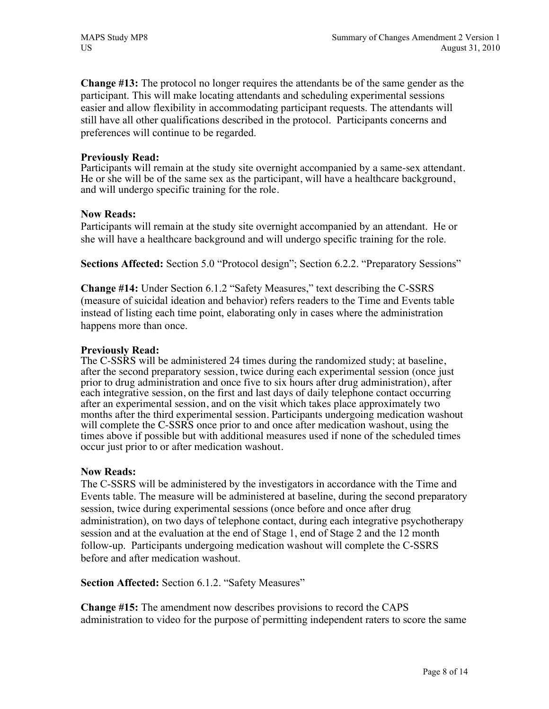**Change #13:** The protocol no longer requires the attendants be of the same gender as the participant. This will make locating attendants and scheduling experimental sessions easier and allow flexibility in accommodating participant requests. The attendants will still have all other qualifications described in the protocol. Participants concerns and preferences will continue to be regarded.

### **Previously Read:**

Participants will remain at the study site overnight accompanied by a same-sex attendant. He or she will be of the same sex as the participant, will have a healthcare background, and will undergo specific training for the role.

### **Now Reads:**

Participants will remain at the study site overnight accompanied by an attendant. He or she will have a healthcare background and will undergo specific training for the role.

**Sections Affected:** Section 5.0 "Protocol design"; Section 6.2.2. "Preparatory Sessions"

**Change #14:** Under Section 6.1.2 "Safety Measures," text describing the C-SSRS (measure of suicidal ideation and behavior) refers readers to the Time and Events table instead of listing each time point, elaborating only in cases where the administration happens more than once.

# **Previously Read:**

The C-SSRS will be administered 24 times during the randomized study; at baseline, after the second preparatory session, twice during each experimental session (once just prior to drug administration and once five to six hours after drug administration), after each integrative session, on the first and last days of daily telephone contact occurring after an experimental session, and on the visit which takes place approximately two months after the third experimental session. Participants undergoing medication washout will complete the C-SSRS once prior to and once after medication washout, using the times above if possible but with additional measures used if none of the scheduled times occur just prior to or after medication washout.

# **Now Reads:**

The C-SSRS will be administered by the investigators in accordance with the Time and Events table. The measure will be administered at baseline, during the second preparatory session, twice during experimental sessions (once before and once after drug administration), on two days of telephone contact, during each integrative psychotherapy session and at the evaluation at the end of Stage 1, end of Stage 2 and the 12 month follow-up. Participants undergoing medication washout will complete the C-SSRS before and after medication washout.

**Section Affected:** Section 6.1.2. "Safety Measures"

**Change #15:** The amendment now describes provisions to record the CAPS administration to video for the purpose of permitting independent raters to score the same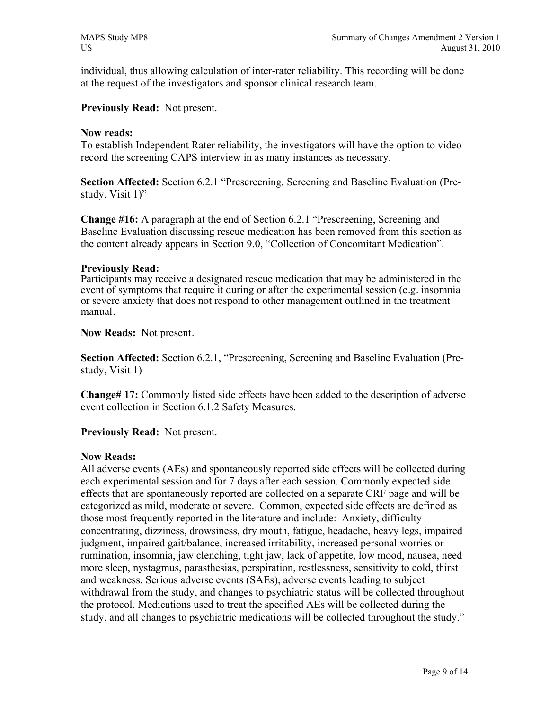individual, thus allowing calculation of inter-rater reliability. This recording will be done at the request of the investigators and sponsor clinical research team.

**Previously Read:** Not present.

### **Now reads:**

To establish Independent Rater reliability, the investigators will have the option to video record the screening CAPS interview in as many instances as necessary.

**Section Affected:** Section 6.2.1 "Prescreening, Screening and Baseline Evaluation (Prestudy, Visit 1)"

**Change #16:** A paragraph at the end of Section 6.2.1 "Prescreening, Screening and Baseline Evaluation discussing rescue medication has been removed from this section as the content already appears in Section 9.0, "Collection of Concomitant Medication".

### **Previously Read:**

Participants may receive a designated rescue medication that may be administered in the event of symptoms that require it during or after the experimental session (e.g. insomnia or severe anxiety that does not respond to other management outlined in the treatment manual.

**Now Reads:** Not present.

**Section Affected:** Section 6.2.1, "Prescreening, Screening and Baseline Evaluation (Prestudy, Visit 1)

**Change# 17:** Commonly listed side effects have been added to the description of adverse event collection in Section 6.1.2 Safety Measures.

**Previously Read:** Not present.

# **Now Reads:**

All adverse events (AEs) and spontaneously reported side effects will be collected during each experimental session and for 7 days after each session. Commonly expected side effects that are spontaneously reported are collected on a separate CRF page and will be categorized as mild, moderate or severe. Common, expected side effects are defined as those most frequently reported in the literature and include: Anxiety, difficulty concentrating, dizziness, drowsiness, dry mouth, fatigue, headache, heavy legs, impaired judgment, impaired gait/balance, increased irritability, increased personal worries or rumination, insomnia, jaw clenching, tight jaw, lack of appetite, low mood, nausea, need more sleep, nystagmus, parasthesias, perspiration, restlessness, sensitivity to cold, thirst and weakness. Serious adverse events (SAEs), adverse events leading to subject withdrawal from the study, and changes to psychiatric status will be collected throughout the protocol. Medications used to treat the specified AEs will be collected during the study, and all changes to psychiatric medications will be collected throughout the study."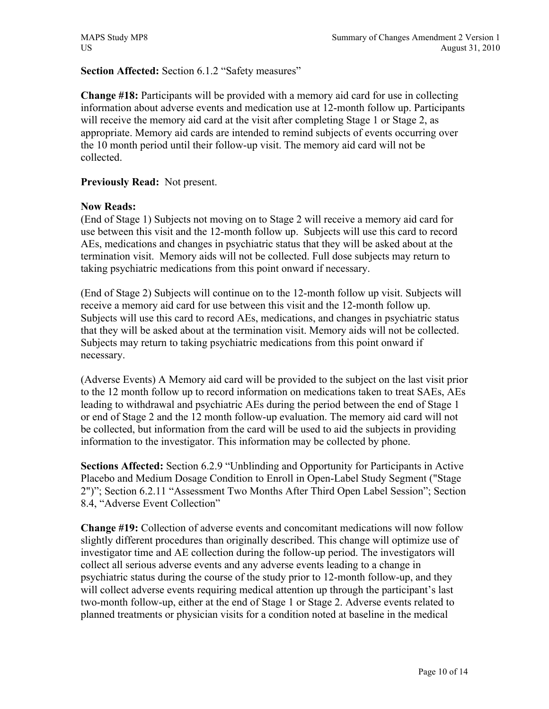# **Section Affected:** Section 6.1.2 "Safety measures"

**Change #18:** Participants will be provided with a memory aid card for use in collecting information about adverse events and medication use at 12-month follow up. Participants will receive the memory aid card at the visit after completing Stage 1 or Stage 2, as appropriate. Memory aid cards are intended to remind subjects of events occurring over the 10 month period until their follow-up visit. The memory aid card will not be collected.

# **Previously Read:** Not present.

# **Now Reads:**

(End of Stage 1) Subjects not moving on to Stage 2 will receive a memory aid card for use between this visit and the 12-month follow up. Subjects will use this card to record AEs, medications and changes in psychiatric status that they will be asked about at the termination visit. Memory aids will not be collected. Full dose subjects may return to taking psychiatric medications from this point onward if necessary.

(End of Stage 2) Subjects will continue on to the 12-month follow up visit. Subjects will receive a memory aid card for use between this visit and the 12-month follow up. Subjects will use this card to record AEs, medications, and changes in psychiatric status that they will be asked about at the termination visit. Memory aids will not be collected. Subjects may return to taking psychiatric medications from this point onward if necessary.

(Adverse Events) A Memory aid card will be provided to the subject on the last visit prior to the 12 month follow up to record information on medications taken to treat SAEs, AEs leading to withdrawal and psychiatric AEs during the period between the end of Stage 1 or end of Stage 2 and the 12 month follow-up evaluation. The memory aid card will not be collected, but information from the card will be used to aid the subjects in providing information to the investigator. This information may be collected by phone.

**Sections Affected:** Section 6.2.9 "Unblinding and Opportunity for Participants in Active Placebo and Medium Dosage Condition to Enroll in Open-Label Study Segment ("Stage 2")"; Section 6.2.11 "Assessment Two Months After Third Open Label Session"; Section 8.4, "Adverse Event Collection"

**Change #19:** Collection of adverse events and concomitant medications will now follow slightly different procedures than originally described. This change will optimize use of investigator time and AE collection during the follow-up period. The investigators will collect all serious adverse events and any adverse events leading to a change in psychiatric status during the course of the study prior to 12-month follow-up, and they will collect adverse events requiring medical attention up through the participant's last two-month follow-up, either at the end of Stage 1 or Stage 2. Adverse events related to planned treatments or physician visits for a condition noted at baseline in the medical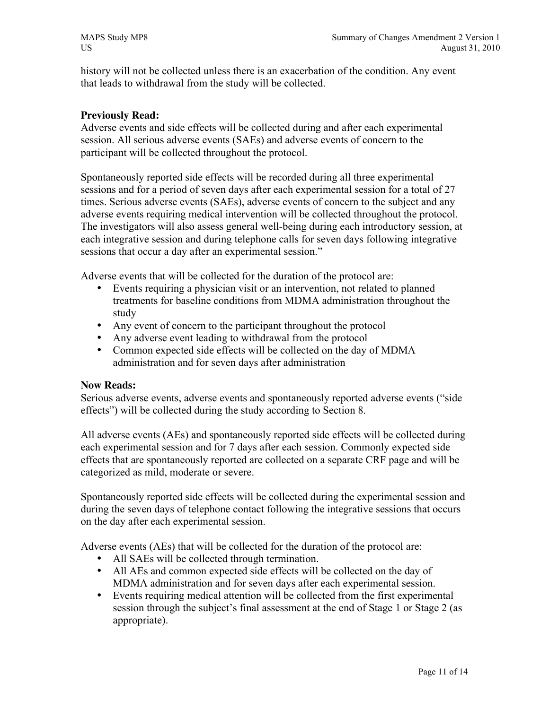history will not be collected unless there is an exacerbation of the condition. Any event that leads to withdrawal from the study will be collected.

# **Previously Read:**

Adverse events and side effects will be collected during and after each experimental session. All serious adverse events (SAEs) and adverse events of concern to the participant will be collected throughout the protocol.

Spontaneously reported side effects will be recorded during all three experimental sessions and for a period of seven days after each experimental session for a total of 27 times. Serious adverse events (SAEs), adverse events of concern to the subject and any adverse events requiring medical intervention will be collected throughout the protocol. The investigators will also assess general well-being during each introductory session, at each integrative session and during telephone calls for seven days following integrative sessions that occur a day after an experimental session."

Adverse events that will be collected for the duration of the protocol are:

- Events requiring a physician visit or an intervention, not related to planned treatments for baseline conditions from MDMA administration throughout the study
- Any event of concern to the participant throughout the protocol
- Any adverse event leading to withdrawal from the protocol
- Common expected side effects will be collected on the day of MDMA administration and for seven days after administration

# **Now Reads:**

Serious adverse events, adverse events and spontaneously reported adverse events ("side effects") will be collected during the study according to Section 8.

All adverse events (AEs) and spontaneously reported side effects will be collected during each experimental session and for 7 days after each session. Commonly expected side effects that are spontaneously reported are collected on a separate CRF page and will be categorized as mild, moderate or severe.

Spontaneously reported side effects will be collected during the experimental session and during the seven days of telephone contact following the integrative sessions that occurs on the day after each experimental session.

Adverse events (AEs) that will be collected for the duration of the protocol are:

- All SAEs will be collected through termination.
- All AEs and common expected side effects will be collected on the day of MDMA administration and for seven days after each experimental session.
- Events requiring medical attention will be collected from the first experimental session through the subject's final assessment at the end of Stage 1 or Stage 2 (as appropriate).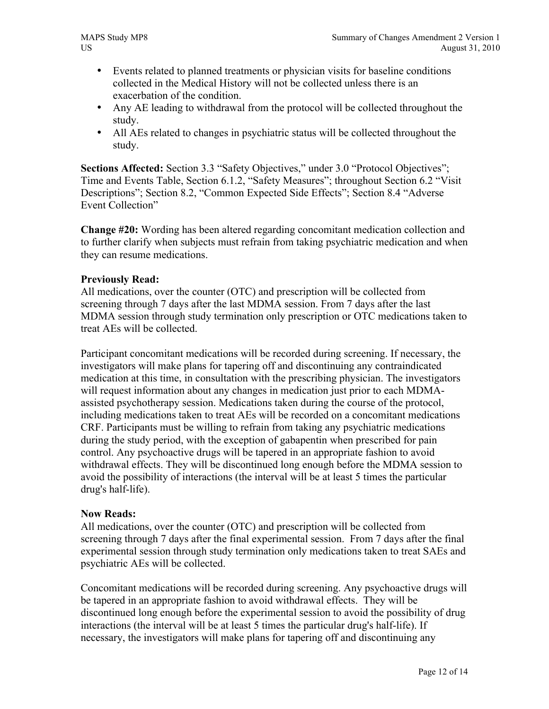- Events related to planned treatments or physician visits for baseline conditions collected in the Medical History will not be collected unless there is an exacerbation of the condition.
- Any AE leading to withdrawal from the protocol will be collected throughout the study.
- All AEs related to changes in psychiatric status will be collected throughout the study.

**Sections Affected:** Section 3.3 "Safety Objectives," under 3.0 "Protocol Objectives"; Time and Events Table, Section 6.1.2, "Safety Measures"; throughout Section 6.2 "Visit Descriptions"; Section 8.2, "Common Expected Side Effects"; Section 8.4 "Adverse Event Collection"

**Change #20:** Wording has been altered regarding concomitant medication collection and to further clarify when subjects must refrain from taking psychiatric medication and when they can resume medications.

# **Previously Read:**

All medications, over the counter (OTC) and prescription will be collected from screening through 7 days after the last MDMA session. From 7 days after the last MDMA session through study termination only prescription or OTC medications taken to treat AEs will be collected.

Participant concomitant medications will be recorded during screening. If necessary, the investigators will make plans for tapering off and discontinuing any contraindicated medication at this time, in consultation with the prescribing physician. The investigators will request information about any changes in medication just prior to each MDMAassisted psychotherapy session. Medications taken during the course of the protocol, including medications taken to treat AEs will be recorded on a concomitant medications CRF. Participants must be willing to refrain from taking any psychiatric medications during the study period, with the exception of gabapentin when prescribed for pain control. Any psychoactive drugs will be tapered in an appropriate fashion to avoid withdrawal effects. They will be discontinued long enough before the MDMA session to avoid the possibility of interactions (the interval will be at least 5 times the particular drug's half-life).

# **Now Reads:**

All medications, over the counter (OTC) and prescription will be collected from screening through 7 days after the final experimental session. From 7 days after the final experimental session through study termination only medications taken to treat SAEs and psychiatric AEs will be collected.

Concomitant medications will be recorded during screening. Any psychoactive drugs will be tapered in an appropriate fashion to avoid withdrawal effects. They will be discontinued long enough before the experimental session to avoid the possibility of drug interactions (the interval will be at least 5 times the particular drug's half-life). If necessary, the investigators will make plans for tapering off and discontinuing any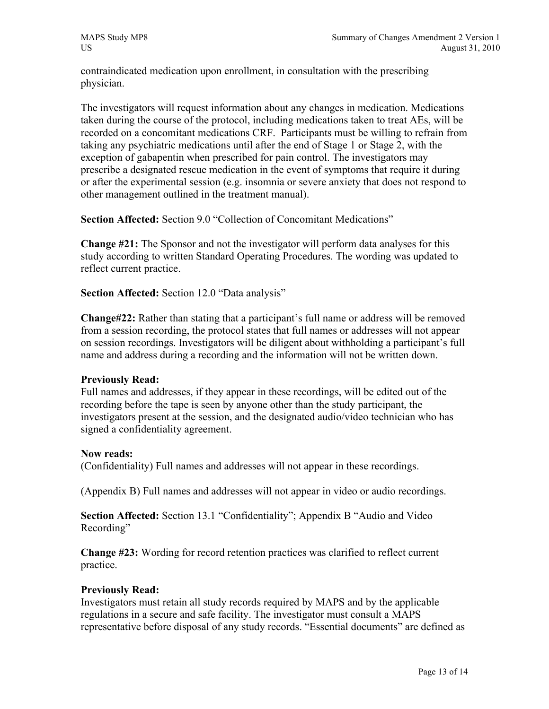contraindicated medication upon enrollment, in consultation with the prescribing physician.

The investigators will request information about any changes in medication. Medications taken during the course of the protocol, including medications taken to treat AEs, will be recorded on a concomitant medications CRF. Participants must be willing to refrain from taking any psychiatric medications until after the end of Stage 1 or Stage 2, with the exception of gabapentin when prescribed for pain control. The investigators may prescribe a designated rescue medication in the event of symptoms that require it during or after the experimental session (e.g. insomnia or severe anxiety that does not respond to other management outlined in the treatment manual).

**Section Affected:** Section 9.0 "Collection of Concomitant Medications"

**Change #21:** The Sponsor and not the investigator will perform data analyses for this study according to written Standard Operating Procedures. The wording was updated to reflect current practice.

**Section Affected:** Section 12.0 "Data analysis"

**Change#22:** Rather than stating that a participant's full name or address will be removed from a session recording, the protocol states that full names or addresses will not appear on session recordings. Investigators will be diligent about withholding a participant's full name and address during a recording and the information will not be written down.

# **Previously Read:**

Full names and addresses, if they appear in these recordings, will be edited out of the recording before the tape is seen by anyone other than the study participant, the investigators present at the session, and the designated audio/video technician who has signed a confidentiality agreement.

# **Now reads:**

(Confidentiality) Full names and addresses will not appear in these recordings.

(Appendix B) Full names and addresses will not appear in video or audio recordings.

**Section Affected:** Section 13.1 "Confidentiality"; Appendix B "Audio and Video Recording"

**Change #23:** Wording for record retention practices was clarified to reflect current practice.

# **Previously Read:**

Investigators must retain all study records required by MAPS and by the applicable regulations in a secure and safe facility. The investigator must consult a MAPS representative before disposal of any study records. "Essential documents" are defined as